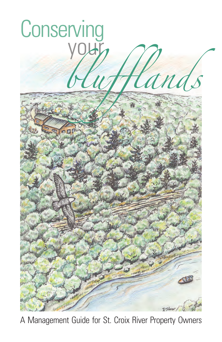

A Management Guide for St. Croix River Property Owners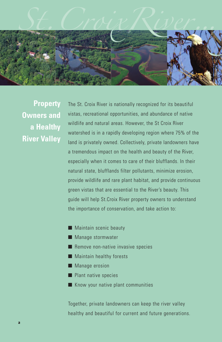

**Property Owners and a Healthy River Valley**

The St. Croix River is nationally recognized for its beautiful vistas, recreational opportunities, and abundance of native wildlife and natural areas. However, the St Croix River watershed is in a rapidly developing region where 75% of the land is privately owned. Collectively, private landowners have a tremendous impact on the health and beauty of the River, especially when it comes to care of their blufflands. In their natural state, blufflands filter pollutants, minimize erosion, provide wildlife and rare plant habitat, and provide continuous green vistas that are essential to the River's beauty. This guide will help St.Croix River property owners to understand the importance of conservation, and take action to:

- Maintain scenic beauty
- Manage stormwater
- Remove non-native invasive species
- Maintain healthy forests
- Manage erosion
- Plant native species
- Know your native plant communities

Together, private landowners can keep the river valley healthy and beautiful for current and future generations.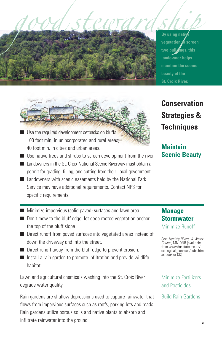

- Use the required development setbacks on bluffs 100 foot min. in unincorporated and rural areas; 40 foot min. in cities and urban areas.
- Use native trees and shrubs to screen development from the river.
- Landowners in the St. Croix National Scenic Riverway must obtain a permit for grading, filling, and cutting from their local government.
- Landowners with scenic easements held by the National Park Service may have additional requirements. Contact NPS for specific requirements.
- Minimize impervious (solid paved) surfaces and lawn area
- Don't mow to the bluff edge; let deep-rooted vegetation anchor the top of the bluff slope
- Direct runoff from paved surfaces into vegetated areas instead of down the driveway and into the street.
- Direct runoff away from the bluff edge to prevent erosion.
- Install a rain garden to promote infiltration and provide wildlife habitat.

Lawn and agricultural chemicals washing into the St. Croix River degrade water quality.

Rain gardens are shallow depressions used to capture rainwater that flows from impervious surfaces such as roofs, parking lots and roads. Rain gardens utilize porous soils and native plants to absorb and infiltrate rainwater into the ground.

**vegetation to screen two buildings, this landowner helps maintain the scenic beauty of the St. Croix River.**

**Conservation Strategies & Techniques**

**Maintain Scenic Beauty**

# **Manage Stormwater** Minimize Runoff

See: *Healthy Rivers: A Water Course,* MN-DNR (available from www.dnr.state.mn.us/ ecological\_services/pubs.html as book or CD)

Minimize Fertilizers and Pesticides

Build Rain Gardens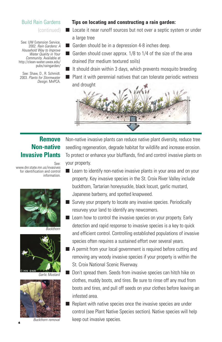# Build Rain Gardens (continued)

See: UW Extension Service, 2002. *Rain Gardens: A Household Way to Improve Water Quality in Your Community*. Available at http://clean-water.uwex.edu/ pubs/raingarden/

See: Shaw, D., R. Schmidt. 2003. *Plants for Stormwater Design*. MnPCA.

#### **Tips on locating and constructing a rain garden:**

- Locate it near runoff sources but not over a septic system or under a large tree
- Garden should be in a depression 4-8 inches deep.
- Garden should cover approx. 1/8 to 1/4 of the size of the area drained (for medium textured soils)
- $\blacksquare$  It should drain within 3 days, which prevents mosquito breeding
- Plant it with perennial natives that can tolerate periodic wetness and drought



# **Remove Non-native Invasive Plants**

See:

www.dnr.state.mn.us/invasives for identification and control information.



*Buckthorn*



*Garlic Mustard*



*Buckthorn removal*

Non-native invasive plants can reduce native plant diversity, reduce tree seedling regeneration, degrade habitat for wildlife and increase erosion. To protect or enhance your blufflands, find and control invasive plants on your property.

- Learn to identify non-native invasive plants in your area and on your property. Key invasive species in the St. Croix River Valley include buckthorn, Tartarian honeysuckle, black locust, garlic mustard, Japanese barberry, and spotted knapweed.
- Survey your property to locate any invasive species. Periodically resurvey your land to identify any newcomers.
- Learn how to control the invasive species on your property. Early detection and rapid response to invasive species is a key to quick and efficient control. Controlling established populations of invasive species often requires a sustained effort over several years.
- A permit from your local government is required before cutting and removing any woody invasive species if your property is within the St. Croix National Scenic Riverway.
	- Don't spread them. Seeds from invasive species can hitch hike on clothes, muddy boots, and tires. Be sure to rinse off any mud from boots and tires, and pull off seeds on your clothes before leaving an infested area.
- Replant with native species once the invasive species are under control (see Plant Native Species section). Native species will help keep out invasive species.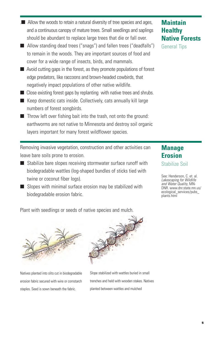# .■ Allow the woods to retain a natural diversity of tree species and ages, and a continuous canopy of mature trees. Small seedlings and saplings should be abundant to replace large trees that die or fall over.

- Allow standing dead trees ("snags") and fallen trees ("deadfalls") to remain in the woods. They are important sources of food and cover for a wide range of insects, birds, and mammals.
- Avoid cutting gaps in the forest, as they promote populations of forest edge predators, like raccoons and brown-headed cowbirds, that negatively impact populations of other native wildlife.
- Close existing forest gaps by replanting with native trees and shrubs.
- Keep domestic cats inside. Collectively, cats annually kill large numbers of forest songbirds.
- $\blacksquare$  Throw left over fishing bait into the trash, not onto the ground: earthworms are not native to Minnesota and destroy soil organic layers important for many forest wildflower species.

Removing invasive vegetation, construction and other activities can leave bare soils prone to erosion.

- Stabilize bare slopes receiving stormwater surface runoff with biodegradable wattles (log-shaped bundles of sticks tied with twine or coconut fiber logs).
- Slopes with minimal surface erosion may be stabilized with biodegradable erosion fabric.

# **Healthy Native Forests**

General Tips

**Maintain**

# **Manage Erosion**

Stabilize Soil

See: Henderson, C. et. al. *Lakescaping for Wildlife and Water Quality*, MN-DNR. www.dnr.state.mn.us/ ecological\_services/pubs\_ plants.html

Plant with seedlings or seeds of native species and mulch.

Natives planted into slits cut in biodegradable erosion fabric secured with wire or cornstarch staples. Seed is sown beneath the fabric.

Slope stabilized with wattles buried in small trenches and held with wooden stakes. Natives planted between wattles and mulched



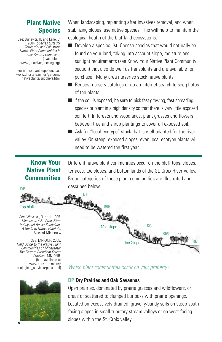# **Plant Native Species**

See: Dunevitz, H. and Lane, C. 2004, *Species Lists for Terrestrial and Palustrine Native Plant Communities in east-Central Minnesota* (available at www.greatrivergreening.org).

For native plant suppliers, see www.dnr.state.mn.us/gardens/ nativeplants/suppliers.html When landscaping, replanting after invasives removal, and when stabilizing slopes, use native species. This will help to maintain the ecological health of the bluffland ecosystems.

- Develop a species list. Choose species that would naturally be found on your land, taking into account slope, moisture and sunlight requirements (see Know Your Native Plant Community section) that also do well as transplants and are available for purchase. Many area nurseries stock native plants.
- Request nursery catalogs or do an Internet search to see photos of the plants.
- $\blacksquare$  If the soil is exposed, be sure to pick fast growing, fast spreading species or plant in a high density so that there is very little exposed soil left. In forests and woodlands, plant grasses and flowers between tree and shrub plantings to cover all exposed soil.
- Ask for "local ecotype" stock that is well adapted for the river valley. On steep, exposed slopes, even local ecotype plants will need to be watered the first year.

# **Know Your Native Plant Communities**

**DP**

Different native plant communities occur on the bluff tops, slopes, terraces, toe slopes, and bottomlands of the St. Croix River Valley. Broad categories of these plant communities are illustrated and described below.





#### **DP. Dry Prairies and Oak Savannas**

Open prairies, dominated by prairie grasses and wildflowers, or areas of scattered to clumped bur oaks with prairie openings. Located on excessively-drained, gravelly/sandy soils on steep south facing slopes in small tributary stream valleys or on west-facing slopes within the St. Croix valley. **<sup>6</sup>**

*Field Guide to the Native Plant The Eastern Broadleaf Forest* (both available at www.dnr.state.mn.us/ ecological\_services/pubs.html)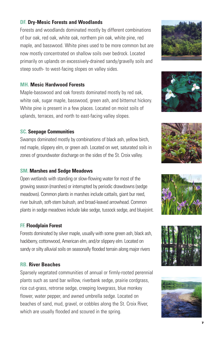# **DF. Dry-Mesic Forests and Woodlands**

Forests and woodlands dominated mostly by different combinations of bur oak, red oak, white oak, northern pin oak, white pine, red maple, and basswood. White pines used to be more common but are now mostly concentrated on shallow soils over bedrock. Located primarily on uplands on excessively-drained sandy/gravelly soils and steep south- to west-facing slopes on valley sides.

#### **MH. Mesic Hardwood Forests**

Maple-basswood and oak forests dominated mostly by red oak, white oak, sugar maple, basswood, green ash, and bitternut hickory. White pine is present in a few places. Located on moist soils of uplands, terraces, and north to east-facing valley slopes.

## **SC. Seepage Communities**

Swamps dominated mostly by combinations of black ash, yellow birch, red maple, slippery elm, or green ash. Located on wet, saturated soils in zones of groundwater discharge on the sides of the St. Croix valley.

#### **SM. Marshes and Sedge Meadows**

Open wetlands with standing or slow-flowing water for most of the growing season (marshes) or interrupted by periodic drawdowns (sedge meadows). Common plants in marshes include cattails, giant bur reed, river bulrush, soft-stem bulrush, and broad-leaved arrowhead. Common plants in sedge meadows include lake sedge, tussock sedge, and bluejoint.

#### **FF. Floodplain Forest**

Forests dominated by silver maple, usually with some green ash, black ash, hackberry, cottonwood, American elm, and/or slippery elm. Located on sandy or silty alluvial soils on seasonally flooded terrain along major rivers

## **RB. River Beaches**

Sparsely vegetated communities of annual or firmly-rooted perennial plants such as sand bar willow, riverbank sedge, prairie cordgrass, rice cut-grass, retrorse sedge, creeping lovegrass, blue monkey flower, water pepper, and awned umbrella sedge. Located on beaches of sand, mud, gravel, or cobbles along the St. Croix River, which are usually flooded and scoured in the spring.